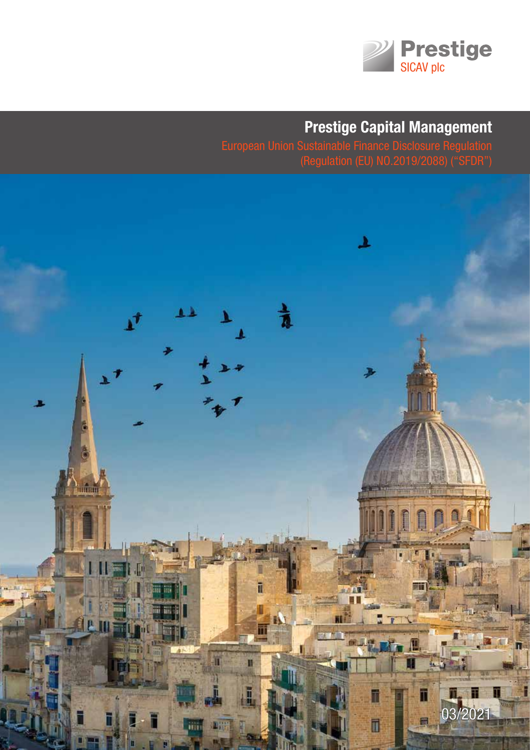

# **Prestige Capital Management**

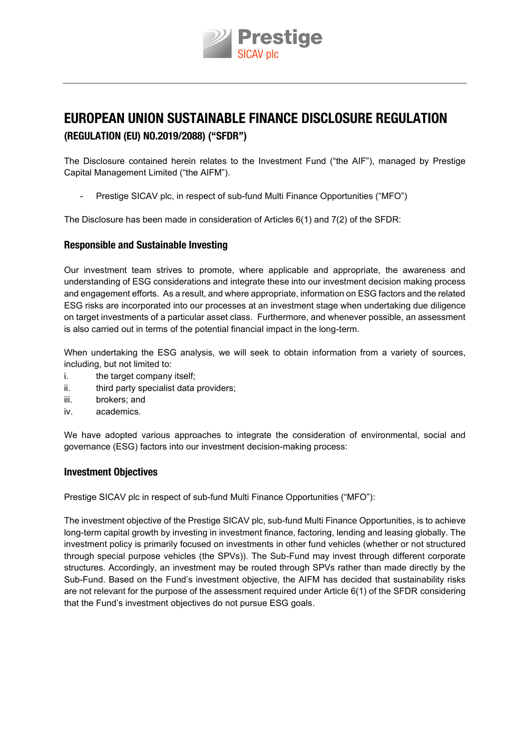

# **EUROPEAN UNION SUSTAINABLE FINANCE DISCLOSURE REGULATION (REGULATION (EU) NO.2019/2088) ("SFDR")**

The Disclosure contained herein relates to the Investment Fund ("the AIF"), managed by Prestige capital Management limited ("the AIFM").

Prestige SICAV plc, in respect of sub-fund Multi Finance Opportunities ("MFO")

The Disclosure has been made in consideration of Articles  $6(1)$  and  $7(2)$  of the SFDR:

#### **Responsible and Sustainable Investing**

Our investment team strives to promote, where applicable and appropriate, the awareness and understanding of eSG considerations and integrate these into our investment decision making process and engagement efforts. As a result, and where appropriate, information on ESG factors and the related eSG risks are incorporated into our processes at an investment stage when undertaking due diligence on target investments of a particular asset class. Furthermore, and whenever possible, an assessment is also carried out in terms of the potential financial impact in the long-term.

When undertaking the ESG analysis, we will seek to obtain information from a variety of sources, including, but not limited to:

- i. the target company itself;
- ii. third party specialist data providers:
- iii. brokers; and
- iv. academics.

We have adopted various approaches to integrate the consideration of environmental, social and governance (ESG) factors into our investment decision-making process:

#### **Investment Objectives**

Prestige SIcav plc in respect of sub-fund Multi Finance Opportunities ("MFO"):

The investment objective of the Prestige SICAV plc, sub-fund Multi Finance Opportunities, is to achieve long-term capital growth by investing in investment finance, factoring, lending and leasing globally. The investment policy is primarily focused on investments in other fund vehicles (whether or not structured through special purpose vehicles (the SPVs)). The Sub-Fund may invest through different corporate structures. accordingly, an investment may be routed through SPvs rather than made directly by the Sub-Fund. Based on the Fund's investment objective, the aIFM has decided that sustainability risks are not relevant for the purpose of the assessment required under Article 6(1) of the SFDR considering that the Fund's investment objectives do not pursue ESG goals.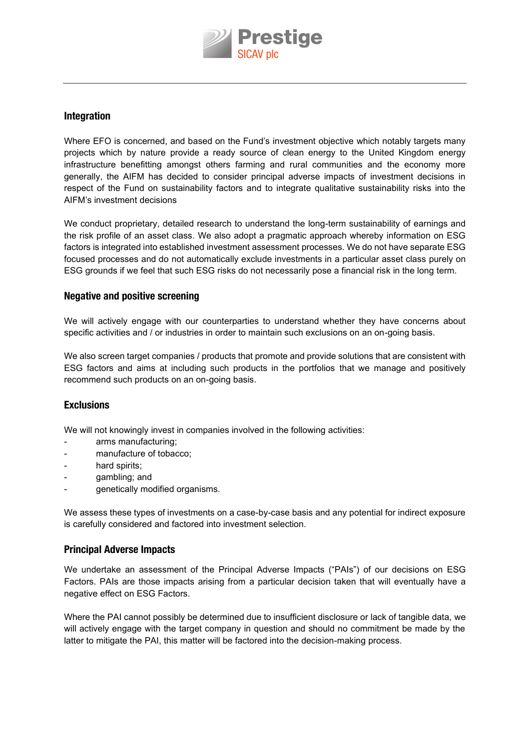

#### **Integration**

Where EFO is concerned, and based on the Fund's investment objective which notably targets many projects which by nature provide a ready source of clean energy to the United Kingdom energy infrastructure benefitting amongst others farming and rural communities and the economy more generally, the aIFM has decided to consider principal adverse impacts of investment decisions in respect of the Fund on sustainability factors and to integrate qualitative sustainability risks into the AIFM's investment decisions

We conduct proprietary, detailed research to understand the long-term sustainability of earnings and the risk profile of an asset class. We also adopt a pragmatic approach whereby information on eSG factors is integrated into established investment assessment processes. We do not have separate ESG focused processes and do not automatically exclude investments in a particular asset class purely on ESG grounds if we feel that such ESG risks do not necessarily pose a financial risk in the long term.

#### **Negative and positive screening**

We will actively engage with our counterparties to understand whether they have concerns about specific activities and / or industries in order to maintain such exclusions on an on-going basis.

We also screen target companies / products that promote and provide solutions that are consistent with eSG factors and aims at including such products in the portfolios that we manage and positively recommend such products on an on-going basis.

#### **Exclusions**

We will not knowingly invest in companies involved in the following activities:

- arms manufacturing;
- manufacture of tobacco;
- hard spirits:
- qambling; and
- genetically modified organisms.

We assess these types of investments on a case-by-case basis and any potential for indirect exposure is carefully considered and factored into investment selection.

#### **Principal Adverse Impacts**

We undertake an assessment of the Principal Adverse Impacts ("PAIs") of our decisions on ESG Factors. PAIs are those impacts arising from a particular decision taken that will eventually have a negative effect on ESG Factors.

Where the PaI cannot possibly be determined due to insufficient disclosure or lack of tangible data, we will actively engage with the target company in question and should no commitment be made by the latter to mitigate the PaI, this matter will be factored into the decision-making process.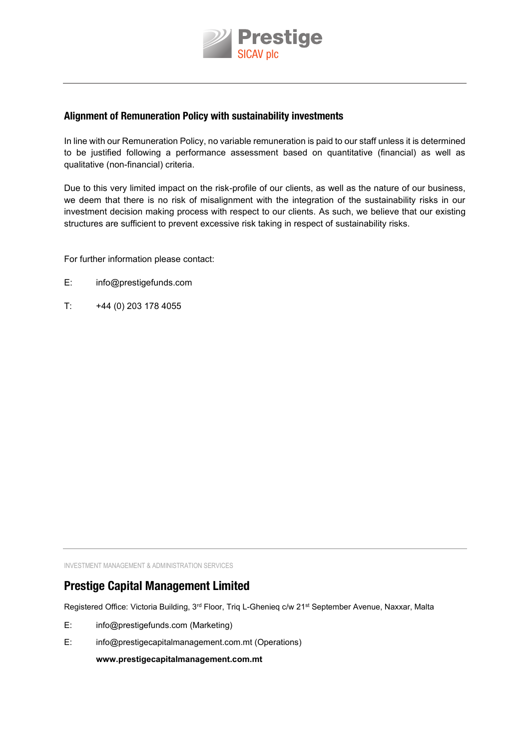

#### **Alignment of Remuneration Policy with sustainability investments**

In line with our Remuneration Policy, no variable remuneration is paid to our staff unless it is determined to be justified following a performance assessment based on quantitative (financial) as well as qualitative (non-financial) criteria.

Due to this very limited impact on the risk-profile of our clients, as well as the nature of our business, we deem that there is no risk of misalignment with the integration of the sustainability risks in our investment decision making process with respect to our clients. as such, we believe that our existing structures are sufficient to prevent excessive risk taking in respect of sustainability risks.

For further information please contact:

- e: info@prestigefunds.com
- $T:$  +44 (0) 203 178 4055

INVESTMENT MANAGEMENT & ADMINISTRATION SERVICES

## **Prestige Capital Management Limited**

Registered Office: Victoria Building, 3<sup>rd</sup> Floor, Triq L-Ghenieq c/w 21<sup>st</sup> September Avenue, Naxxar, Malta

- e: info@prestigefunds.com (Marketing)
- E: info@prestigecapitalmanagement.com.mt (Operations)

**www.prestigecapitalmanagement.com.mt**